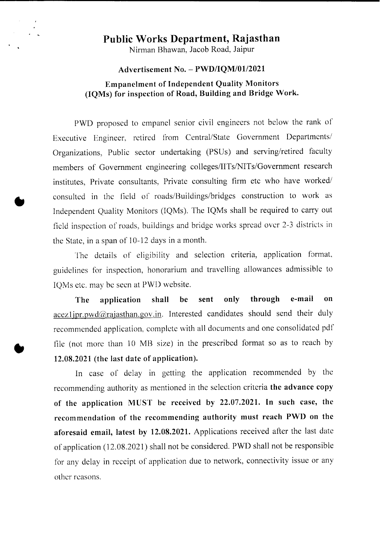# **Public Works Department, Rajasthan**

• L

Nirman Bhawan, Jacob Road, Jaipur

#### **Advertisement No. - PWD/IQM/01l2021**

# **Empanelment of Independent Quality Monitors (IQMs) for inspection of Road, Building and Bridge Work.**

PWD proposed to empanel senior civil engineers not below the rank of Executive Engineer, retired from Central/State Government Departments/ Organizations, Public sector undertaking (PSUs) and serving/retired faculty members of Government engineering colleges/IITs/NITs/Government research institutes, Private consultants, Private consulting firm etc who have worked/ consulted in the field of roads/Buildings/bridges construction to work as Independent Quality Monitors (IQMs). The IQMs shall be required to carry out field inspection of roads, buildings and bridge works spread over 2-3 districts in the State, in a span of 10-12 days in a month.

The details of eligibility and selection criteria, application format. guidelines for inspection, honorarium and travelling allowances admissible to IQMs etc. may be seen at PWD website.

**The application shall be sent only through e-mail on** acez1jpr.pwd@rajasthan.gov.in. Interested candidates should send their duly recommended application, complete with all documents and one consolidated pdf file (not more than 10 MB size) in the prescribed format so as to reach by **12.08.2021 (the last date of application).**

In case of delay in getting the application recommended by the recommending authority as mentioned in the selection criteria **the advance copy of the application MUST be received by 22.07.2021. In such case, the recommendation of the recommending authority must reach PWD on the aforesaid email, latest by 12.08.2021.** Applications received after the last date of application (12.08.2021) shall not be considered. PWD shall not be responsible for any delay in receipt of application due to network, connectivity issue or any other reasons.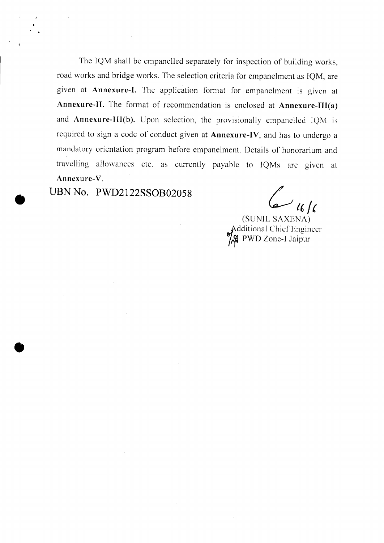The IQM shall be empanelled separately for inspection of building works, road works and bridge works. The selection criteria for empanelment as IQM, are given at **Annexure-I.** The application format for empanelment is given at **Annexure-II.** The format of recommendation is enclosed at **Annexure-III(a)** and **Annexure-III(b).** Upon selection, the provisionally empanelled IQM is required to sign a code of conduct given at **Annexure-IV,** and has to undergo a mandatory orientation program before empanelment. Details of honorarium and travelling allowances etc. as currently payable to IQMs are given at Annexure-V.

**UBN No. PWD2122SS0B02058**

•

•

 $6/6$ 

(SUNIL SAXENA)<br>Additional Chief Engineer  $\frac{1}{2}$  PWD Zone-I Jaipur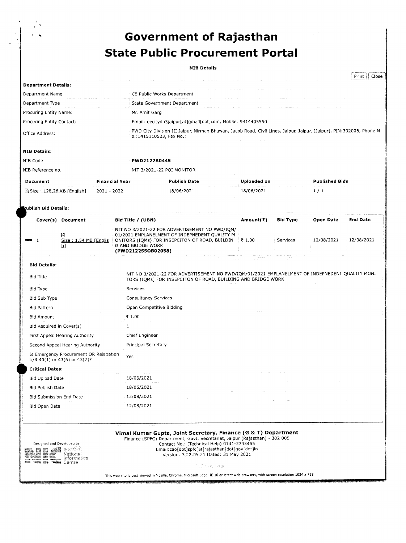# .. **Government of Rajasthan State Public Procurement Portal**

#### **NIB Details**

|                             |                       |                                                                                                                                                |             | Close<br>Print        |  |  |
|-----------------------------|-----------------------|------------------------------------------------------------------------------------------------------------------------------------------------|-------------|-----------------------|--|--|
| <b>Department Details:</b>  |                       |                                                                                                                                                |             |                       |  |  |
| Department Name             |                       | CE Public Works Department                                                                                                                     |             |                       |  |  |
| Department Type             |                       | State Government Department                                                                                                                    |             |                       |  |  |
| Procuring Entity Name:      |                       | Mr. Amit Garg                                                                                                                                  |             |                       |  |  |
| Procuring Entity Contact:   |                       | Email: eecitydn3jaipur[at]gmail[dot]com, Mobile: 9414405550                                                                                    |             |                       |  |  |
| Office Address:             |                       | PWD City Division III Jaipur, Nirman Bhawan, Jacob Road, Civil Lines, Jaipur, Jaipur, (Jaipur), PIN:302006, Phone N<br>o.:1415110523, Fax No.: |             |                       |  |  |
| <b>NIB Details:</b>         |                       |                                                                                                                                                |             |                       |  |  |
| NIB Code                    |                       | PWD2122A0445                                                                                                                                   |             |                       |  |  |
| NIB Reference no.           |                       | NIT 3/2021-22 POI MONITOR                                                                                                                      |             |                       |  |  |
| Document                    | <b>Financial Year</b> | <b>Publish Date</b>                                                                                                                            | Uploaded on | <b>Published Bids</b> |  |  |
| □ Size: 128,26 KB [English] | 2021 - 2022           | 18/06/2021                                                                                                                                     | 18/06/2021  | 1/1                   |  |  |

lish Bid Details:

 $\frac{1}{\epsilon}$ 

| Cover(s) Document                                                             | Bid Title / (UBN)                                                                                                                                                                                                                                                                      | Amount(₹) | <b>Bid Type</b> | Open Date  | <b>End Date</b> |  |  |
|-------------------------------------------------------------------------------|----------------------------------------------------------------------------------------------------------------------------------------------------------------------------------------------------------------------------------------------------------------------------------------|-----------|-----------------|------------|-----------------|--|--|
| ₽<br>Size: 1.54 MB [Englis]<br>h1                                             | NIT NO 3/2021-22 FOR ADVERTISEMENT NO PWD/IQM/<br>01/2021 EMPLANELMENT OF INDEPNEDENT QUALITY M<br>ONITORS (IQMs) FOR INSEPCITON OF ROAD, BUILDIN<br>G AND BRIDGE WORK<br>(PWD2122SSOB02058)                                                                                           |           | Services        | 12/08/2021 | 12/08/2021      |  |  |
| <b>Bid Details:</b>                                                           |                                                                                                                                                                                                                                                                                        |           |                 |            |                 |  |  |
| Bid Title                                                                     | NIT NO 3/2021-22 FOR ADVERTISEMENT NO PWD/IQM/01/2021 EMPLANELMENT OF INDEPNEDENT QUALITY MONI<br>TORS (IQMs) FOR INSEPCITON OF ROAD, BUILDING AND BRIDGE WORK                                                                                                                         |           |                 |            |                 |  |  |
| Bid Type                                                                      | Services                                                                                                                                                                                                                                                                               |           |                 |            |                 |  |  |
| Bid Sub Type                                                                  | <b>Consultancy Services</b>                                                                                                                                                                                                                                                            |           |                 |            |                 |  |  |
| <b>Bid Pattern</b>                                                            | Open Competitive Bidding                                                                                                                                                                                                                                                               |           |                 |            |                 |  |  |
| <b>Bid Amount</b>                                                             | ₹ 1.00                                                                                                                                                                                                                                                                                 |           |                 |            |                 |  |  |
| Bid Required in Cover(s)                                                      | 1                                                                                                                                                                                                                                                                                      |           |                 |            |                 |  |  |
| First Appeal Hearing Authority                                                | Chief Engineer                                                                                                                                                                                                                                                                         |           |                 |            |                 |  |  |
| Second Appeal Hearing Authority                                               | Principal Secretary                                                                                                                                                                                                                                                                    |           |                 |            |                 |  |  |
| Is Emergency Procurement OR Relaxation<br>$U/R$ 40(1) or 43(6) or 43(7)?      | Yes                                                                                                                                                                                                                                                                                    |           |                 |            |                 |  |  |
| <b>Critical Dates:</b>                                                        |                                                                                                                                                                                                                                                                                        |           |                 |            |                 |  |  |
| <b>Bid Upload Date</b>                                                        | 18/06/2021                                                                                                                                                                                                                                                                             |           |                 |            |                 |  |  |
| <b>Bid Publish Date</b>                                                       | 18/06/2021                                                                                                                                                                                                                                                                             |           |                 |            |                 |  |  |
| Bid Submission End Date                                                       | 12/08/2021                                                                                                                                                                                                                                                                             |           |                 |            |                 |  |  |
| Bid Open Date                                                                 | 12/08/2021                                                                                                                                                                                                                                                                             |           |                 |            |                 |  |  |
|                                                                               |                                                                                                                                                                                                                                                                                        |           |                 |            |                 |  |  |
| Designed and Developed by<br>্দৰ আন্ত না<br>National<br>Informatics<br>Centre | Vimal Kumar Gupta, Joint Secretary, Finance (G & T) Department<br>Finance (SPFC) Department, Govt. Secretariat, Jaipur (Rajasthan) - 302 005<br>Contact No.: (Technical Help) 0141-2743455<br>Email:cao[dot]spfc[at]rajasthan[dot]gov[dot]in<br>Version: 3,22.05.21 Dated: 31 May 2021 |           |                 |            |                 |  |  |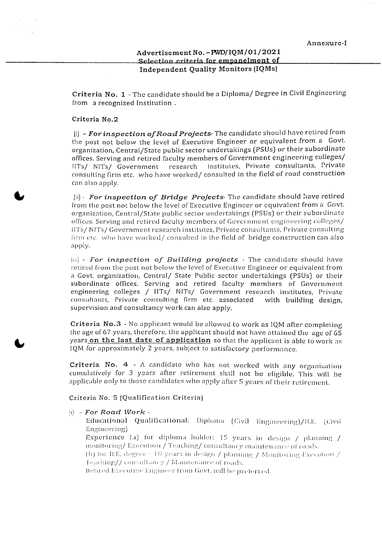#### Advertisement No. - PWD/IQM/01/2021 Selection criteria for empanelment **of** Independent Quality Monitors (IQMs)

Criteria No.1- The candidate should be a Diploma/ Degree in Civil Engineering from a recognized Institution

#### Criteria No.2

(i) - *Forinspection ofRoadProjects-* The candidate should have retired from the post not below the level of Executive Engineer or equivalent from a Govt. organization, Central/State public sector undertakings (PSUs) or their subordinate offices. Serving and retired faculty members of Government engineering colleges/ IITs/ NITs/ Government research institutes, Private consultants, Private consulting firm etc. who have worked/ consulted in the field of road construction can also apply.

(ii)- *For inspection of Bridge Projects-* The candidate should have retired from the post not below the level of Executive Engineer or equivalent from a Govt. organization, Central/State public sector undertakings (PSUs) or their subordinate offices. Serving and retired faculty members of Government engineering colleges/ 11'1'5/ NITs/ Government research institutes, Private consultants, Private consulting Iirm ere. who *have* worked/ consulted in the field of bridge construction can also apply.

(Id) - *For inspection of Bui lding projects '* The candidate should have retired from the post not below the level of Executive Engineer or equivalent from a Govt. organization, Central/ State Public sector undertakings (PSUs) or their subordinate offices. Serving and retired faculty members of Government engineering colleges / IITs/ NITs/ Government research institutes, Private cons ult ants, Private consulting firm *etc.* associated with building design, supervision and consultancy work can also apply.

Criteria No.3 - No applicant would be allowed to work as IQM after completing the age of 67 years, therefore, the applicant should not have attained the age of 65 years on the last date of application so that the applicant is able to work as IQM for approximately 2 years, subject to satisfactory performance.

Criteria No.  $4 - A$  candidate who has not worked with any organization cumulatively for 3 years after retirement shall not be eligible. This will be applicable only to those candidates who apply after 5 years of their retirement.

Criteria *No.* 5 (Qualification Criteria)

#### (I) - *For Road Work -*

Educational Qualificational: Diploma (Civil Engineering)/B.E. (Civil: Engineering)

Experience (a) for diploma holder: 15 years in design / planning / monitoring/ Execution / Teaching/ consultancy maintenance of roads.

(b) for B.E. degree : 10 years in design  $/$  planning  $/$  Monitoring Execution  $/$ Teaching// consultancy / Maintenance of roads.

Retired Executive Engineer from Govt. will be preferred.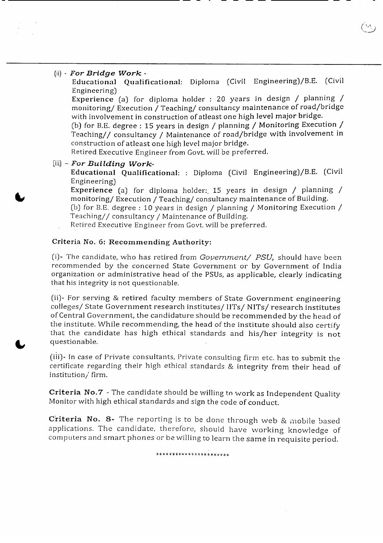#### (ii) - *For Bridge Work -*

Educational Qualificational: Diploma (Civil Engineering)/B.E. (Civil Engineering)

Experience (a) for diploma holder : 20 years in design / planning / monitoring/ Execution / Teaching/ consultancy maintenance of road/bridge with involvement in construction of atleast one high level major bridge.

(b) for B.E. degree: 15 years in design / planning / Monitoring Execution / Teaching// consultancy / Maintenance of road/bridge with involvement in construction of atleast one high level major bridge.

Retired Executive Engineer from Govt. will be preferred.

(iii) - *For Building Work-*

Educational Qualificational: : Diploma (Civil Engineering)/B.E. (Civil Engineering)

Experience (a) for diploma holder: 15 years in design / planning / monitoring/ Execution / Teaching/ consultancy maintenance of Building.

(b) for B.E. degree: 10 years in design / planning / Monitoring Execution / Teaching// consultancy / Maintenance of Building.

Retired Executive Engineer from Govt. will be preferred.

#### Criteria No.6: Recommending Authority:

(i)- The candidate, who has retired from *Government/ PSU)* should have been recommended by the concerned State Government or by Government of India organization or administrative head of the PSUs, as applicable, clearly indicating that his integrity is not questionable.

(ii)- For serving & retired faculty members of State Government engineering colleges/ State Government research institutes/ IITs/ NITs/ research institutes of Central Government, the candidature should be recommended by the head of the institute. While recommending, the head of the institute should also certify that the candidate has high ethical standards and his/her integrity is not questionable.

(iii)- In case of Private consultants, Private consulting firm etc. has to submit the certificate regarding their high ethical standards & integrity from their head of institution/ firm.

Criteria No.7 - The candidate should be willing to work as Independent Quality Monitor with high ethical standards and sign the code of conduct.

Criteria No. 8- The reporting is to be done through web & mobile based applications. The candidate, therefore, should have working knowledge of computers and smart phones or be willing to learn the same in requisite period.

\*\*\*\*\*\*\*\*\*\*\*\*\*\*\*\*\*\*\*\*\*\*\*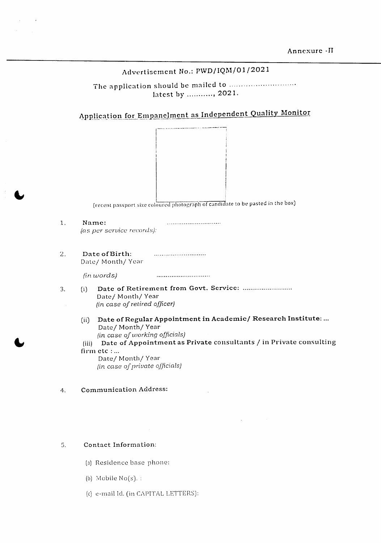# Advertisement No.: PWD/IQM/01/2021

The application should be mailed to .............................. latest by ..........., 2021.

Application for Empanelment as Independent Quality Monitor



(recent passport size coloured photograph of candidate to be pasted in the box)

1. Name: *(as per service records):*

 $\sim 10$ 

2. Date of Birth: Date/ Month/ Year

> (in *words)*

- 3. (i) Date of Retirement from Govt. Service: Date/ Month/ Year *(in case oj retired officer)*
	- (ii) Date of Regular Appointment in Academic/ Research Institute: ... Date/ Month/ Year *(in case oJ working officials)*
	- (iii) Date of Appointment as Private consultants / in Private consulting firm etc:... Date/ Month/ Year

(in *case of private officials)*

#### 4. Communication Address:

#### S. Contact Information:

- (a) Residence base phone:
- (b) Mobile  $No(s)$ :
- (c) e-mail Id. (in CAPITAL LETTERS):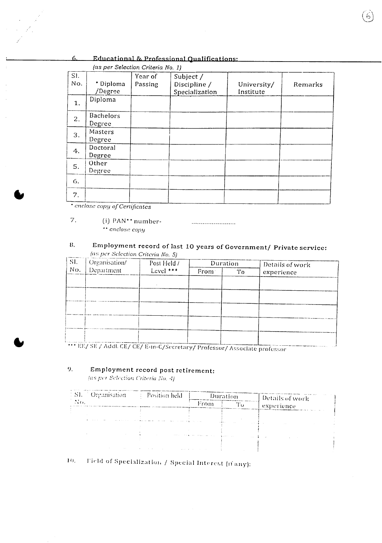#### 6. Educational & Professional Qualifications:

|            | (as per Selection Criteria No. 1) |                    |                                             |                          |         |
|------------|-----------------------------------|--------------------|---------------------------------------------|--------------------------|---------|
| SI.<br>No. | * Diploma<br>/Degree              | Year of<br>Passing | Subject /<br>Discipline /<br>Specialization | University/<br>Institute | Remarks |
| 1.         | Diploma                           |                    |                                             |                          |         |
| 2.         | <b>Bachelors</b><br>Degree        |                    |                                             |                          |         |
| 3.         | Masters<br>Degree                 |                    |                                             |                          |         |
| 4.         | Doctoral<br>Degree                |                    |                                             |                          |         |
| 5.         | Other<br>Degree                   |                    |                                             |                          |         |
| 6.         |                                   |                    |                                             |                          |         |
| 7.         |                                   |                    |                                             |                          |         |

*I~ .:-"* 10\ *\\_J*

*• enclose COp!! ofCcrtijicatcs*

#### 7. (i) PAN<sup>\*\*</sup> number-*•• enclose COIlY*

#### 8. Employment record of last 10 years of Government/ Private service: *(a».per Selection Cn"tcr1a No, 5)*

| SI. | Organisation/                                                               | Post Held / | Duration |    | Details of work |
|-----|-----------------------------------------------------------------------------|-------------|----------|----|-----------------|
| No. | Department                                                                  | Level $***$ | From:    | Tо | experience      |
|     |                                                                             |             |          |    |                 |
|     |                                                                             |             |          |    |                 |
|     |                                                                             |             |          |    |                 |
|     |                                                                             |             |          |    |                 |
|     |                                                                             |             |          |    |                 |
|     |                                                                             |             |          |    |                 |
|     |                                                                             |             |          |    |                 |
|     | *** EE/ SE / Addl. CE/ CE/ E-in-C/Secretary/ Professor/ Associate professor |             |          |    |                 |

# 9. Employment record post retirement:<br>  $\langle \text{as per Selection Criteria Bo. 4} \rangle$

| 1. S1. <sup>7</sup> Organisation | : Position held                                                 |                                                   | Duration     | Details of work. |  |
|----------------------------------|-----------------------------------------------------------------|---------------------------------------------------|--------------|------------------|--|
| $NO$ .                           |                                                                 | From                                              | <br>Γо       | experience       |  |
|                                  |                                                                 |                                                   |              |                  |  |
|                                  |                                                                 |                                                   | <b>COLLA</b> |                  |  |
|                                  |                                                                 |                                                   |              |                  |  |
|                                  |                                                                 | the company of the property of the company of the | .            |                  |  |
| <b>STATISTICS</b>                | the control of the control of the<br>the company of the company | All Colorado                                      |              |                  |  |

10. Field of Specialization / Special Interest (11'any):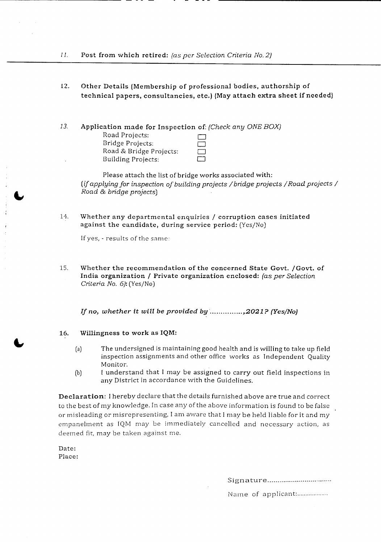- 12. Other Details (Membership of professional bodies, authorship of technical papers, consultancies, etc.) {May attach extra sheet if needed}
- 13. Application made for Inspection of: *(Check any ONEBOX)* Road Projects: Bridge Projects: 0 Road & Bridge Projects: Building Projects: 0

Please attach the list of bridge works associated with: *(if applying for inspection of building projects / bridge projects / Road projects / Road* & *bridge projects)*

14. Whether any departmcntal enquirics / corruption cases initiated against the candidate, during service period: (Yes/No)

If yes, - results of the same:

15. Whether the recommendation of the concerned State Govt. /Govt. of India organization / Private organization enclosed: (as *per Selection Criteria No.6):* (Yes/No)

*If no, whether it will be provided by · ,2021? (Yes/No)*

#### 16. Willingness to work as IQM:

- (a) The undersigned is maintaining good health and is willing to take up field inspection assignments and other office works as Independent Quality Monitor.
- (b) [ understand that I may be assigned to carry out field inspections in any District in accordance with the Guidelines.

Declaration: I hereby declare that the details furnished above are true and correct to the best of my knowledge. In case any of the above information is found to be false or misleading or misrepresenting, I am aware that I may be held liable for it and my empanelment as IQM may be immediately cancelled and necessary action, as deemed fit, may be taken against me.

Date: Place:

Signature...................................

Name of applicant:.....................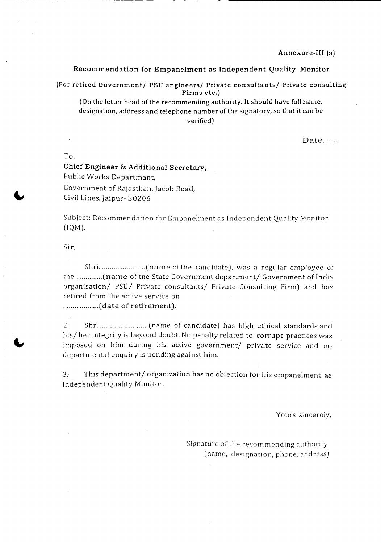#### Recommendation for Empanelment as Independent Quality Monitor

(For retired Government/ PSU engineers/ Private consultants/ Private consulting Firms etc.)

(On the letter head of the recommending authority. It should have full name, designation, address and telephone number of the signatory, so that it can be verified)

Date........

To,

# Chief Engineer & Additional Secretary, Public Works Departmant, Government of Rajasthan, Jacob Road, Civil Lines, Jaipur- 30206

Subject: Recommendation for Empanelment as Independent Quality Monitor (IQM).

Sir,

Shri (rra rn e of the candidate), was a regular employee of the ..............(name of the State Government department/ Government of India organisation/ PSU/ Private consultants/ Private Consulting Firm) and *has* retired from the active service on ...................(date of retirement).

2. Shri ........................ (name of candidate) has high ethical standards and his/ her integrity is beyond doubt. No penalty related to corrupt practices was imposed on him during his active government/ private service and no departmental enquiry is pending against him.

3.- This department/ organization *has* no objection for his empanelment as Independent Quality Monitor.

Yours sincerely,

Signature of the recommending authority (name, designation, phone, address)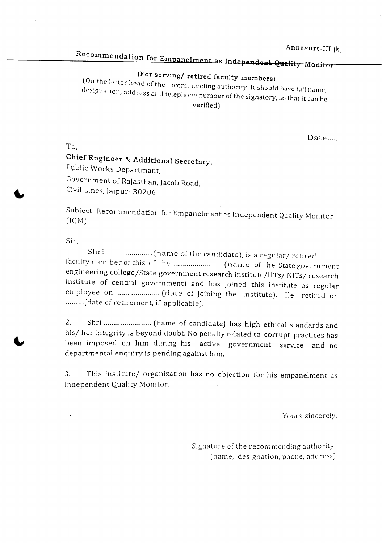Annexure-III (b)

# Recommendation for Empanelment as Independent Quality Monitor

# (For serving/ retired faculty members)

(On the letter head of the recommending authority. It should have full name, designation, address and telephone number of the signatory, so that it can be verified)

Date.......

Chief Engineer & Additional Secretary, Public Works Departmant, Government of Rajasthan, Jacob Road, Civil Lines, }aipur- 30206

Subject: Recommendation for Empanelment as Independent Quality Monitor (IQM).

Sir,

To,

Shri. (name of the candidate), is a regulClr/ retired faculty member of this of the (name of the State government engineering college/State government research institute/IITs/ NITs/ research institute of central government) and has joined this institute as regular employee on ........................(date of joining the institute). He retired on ......... (date of retirement, if applicable).

2. Shri (name of candidate) has high ethical standards and his/ her integrity is beyond doubt. No penalty related to corrupt practices has been imposed on him during his active government service and no departmental enquiry is pending against him.

3. This institute/ organization has no objection for his empanelment as Independent Quality Monitor.

Yours sincerely,

Signature of the recommending authorit $\,$ (name, designation, phone, address)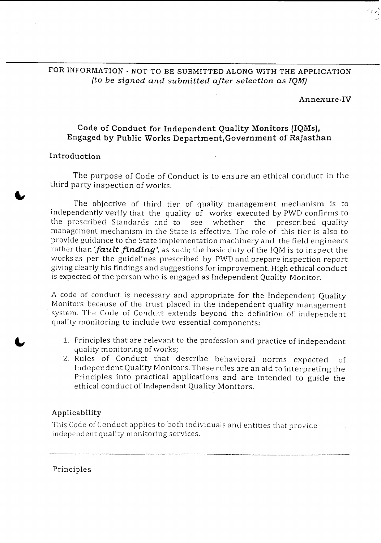## FOR INFORMATION - NOT TO BE SUBMITTED ALONG WITH THE APPLICATION *(to be signed and submitted after selection as IQNJ)*

#### Annexure-Tv

### Code of Conduct for Independent Quality Monitors (IQMs), Engaged by Public 'Works Department,Government of Rajasthan

### Introduction

The purpose of Code of Conduct is to ensure an ethical conduct in the third party inspection of works.

The *objective* of third tier of quality management mechanism is to independently verify that the quality of works executed by PWD confirms to the prescribed Standards and to see whether the prescribed quality management mechanism in the State is *effective.* The role of this tier is also to provide guidance to the State implementation machinery and the field engineers rather than *'fault finding'*, as such; the basic duty of the IQM is to inspect the works as per the guidelines prescribed by PWD and prepare inspection report giving clearly his findings and suggestions for improvement. High ethical conduct is expected of the person who is engaged as Independent Quality Monitor.

A code of conduct is necessary and appropriate for the Independent Quality Monitors because of the trust placed in the independent quality management . system. The Code of Conduct extends beyond the definition of independent quality monitoring to include two essential components:

- 1. Principles that are relevant to the profession and practice of independent quality monitoring of works;
- 2, Rules of Conduct that describe behavioral norms expected of Independent Quality Monitors. These rules are an aid to interpreting the Principles into practical applications and are intended to guide the ethical conduct of Independent Quality Monitors.

.--- ----------- '-\_

#### Applicability

This Code of Conduct applies to both individuals and entities that provide independent quality monitoring services.

Principles

 $\frac{1}{2}$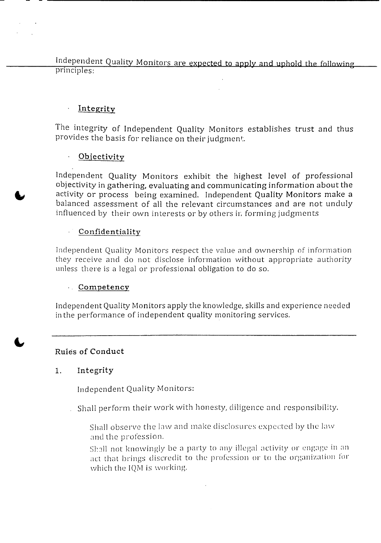Independent Quality Monitors are expected to apply and uphold the following<br>principles:

#### $\ddot{\phantom{a}}$ Integrity

The integrity of Independent Quality Monitors establishes trust and thus provides the basis for reliance on their judgment.

#### $\mathcal{L}^{(1)}$  . **Objectivity**

Independent Quality Monitors exhibit the highest level of professional objectivity in gathering, evaluating and communicating information about the activity or process being examined. Independent Quality Monitors make a balanced assessment of all the relevant circumstances and are not unduly influenced by their own interests or by others in forming judgments

# Confidentiality

Independent Quality Monitors respect the value and ownership of information they receive and do not disclose information without appropriate authority unless there is a legal or professional obligation to do so.

# Competency

Independent Quality Monitors apply the knowledge, skills and experience needed in the performance of independent quality monitoring services.

# Rules of Conduct

# 1. Integrity

Independent Quality Monitors:

- Shall perform their work with honesty, diligence and responsibility.
	- Shall observe the law and make disclosures expected by the law and the profession.
	- Shall not knowingly be a party to any illegal activity or engage in an act that brings discredit to the profession or to the organization for which the IQM is working.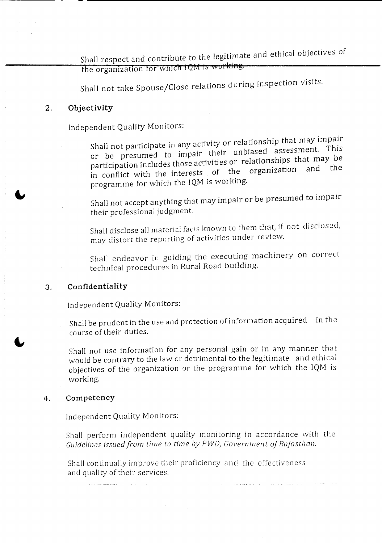Shall respect and contribute to the legitimate and ethical objectives of the organization for which IQM is working.

Shall not take Spouse/Close relations during inspection visits.

#### **2. Objectivity**

Independent Quality Monitors:

Shall not participate in any activity or relationship that may impair or be presumed to impair their unbiased assessment. This participation includes those activities or relationships that may be participation includes those are examined in conflict with the interests of the organization programme for which the IQM is working.

Shall not accept anything that may impair or be presumed to impair their professional judgment.

Shall disclose all material facts known to them that, if not disclosed, may distort the reporting of activities under review.

Shall endeavor in guiding the executing machinery on correct technical procedures in Rural Road building.

#### 3. **Confidentiality**

Independent Quality Monitors:

Shall be prudent in the use and protection of information acquired in the course of their duties.

Shall not use information for any personal gain or in any manner that would be contrary to the law or detrimental to the legitimate and ethical objectives of the organization or the programme for which the IQM is working.

#### 4. Competency

Independent Quality Monitors:

Shall perform independent quality monitoring in accordance with the *Guidelines issued from time to time by PWD, Government of Rajasthan.* 

Shall continually improve their proficiency and the effectiveness and quality of their services.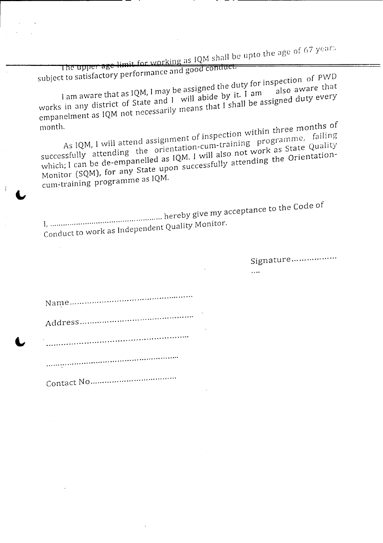$\overline{\phantom{a}}$  **IQM** shall be upto the age of 67 years

| The upper age limit for working as ign share by                                                                                                                                                                                                                                                                                                                                                                                                                                                                                                                                                                                              |
|----------------------------------------------------------------------------------------------------------------------------------------------------------------------------------------------------------------------------------------------------------------------------------------------------------------------------------------------------------------------------------------------------------------------------------------------------------------------------------------------------------------------------------------------------------------------------------------------------------------------------------------------|
| subject to satisfactory performance and good contluct.<br>I am aware that as IQM, I may be assigned the duty for inspection of PWD<br>works in any district of State and I will abide by it. I am<br>empanelment as IQM not necessarily means that I shall be assigned duty every<br>As IQM, I will attend assignment of inspection within three months of<br>month.<br>successfully attending the orientation-cum-training programme, failing<br>which; I can be de-empanelled as IQM. I will also not work as State Quality<br>Monitor (SQM), for any State upon successfully attending the Orientation-<br>cum-training programme as IQM. |
| Conduct to work as Independent Quality Monitor.                                                                                                                                                                                                                                                                                                                                                                                                                                                                                                                                                                                              |
| Signature                                                                                                                                                                                                                                                                                                                                                                                                                                                                                                                                                                                                                                    |
|                                                                                                                                                                                                                                                                                                                                                                                                                                                                                                                                                                                                                                              |
|                                                                                                                                                                                                                                                                                                                                                                                                                                                                                                                                                                                                                                              |
|                                                                                                                                                                                                                                                                                                                                                                                                                                                                                                                                                                                                                                              |
|                                                                                                                                                                                                                                                                                                                                                                                                                                                                                                                                                                                                                                              |
|                                                                                                                                                                                                                                                                                                                                                                                                                                                                                                                                                                                                                                              |
|                                                                                                                                                                                                                                                                                                                                                                                                                                                                                                                                                                                                                                              |
|                                                                                                                                                                                                                                                                                                                                                                                                                                                                                                                                                                                                                                              |

- 11

 $\mathcal{L}^{\text{max}}_{\text{max}}$  and  $\mathcal{L}^{\text{max}}_{\text{max}}$ 

- -

- -

 $\mathcal{L}^{\text{max}}$  $\sim 10^7$ 

Ĵ.

 $\sim$   $\omega$ 

 $\mathcal{L}(\mathcal{A})$  .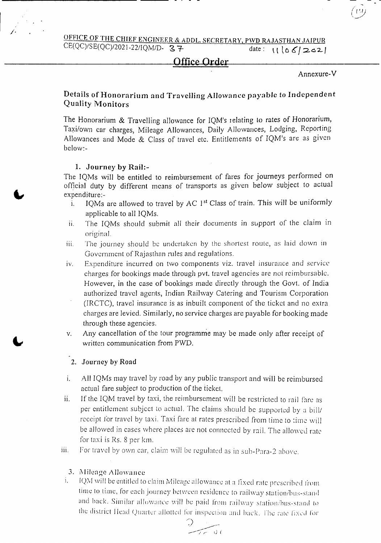OFFICE OF THE CHIEF ENGINEER & ADDL. SECRETARY, PWD RAJASTHAN JAIPUR  $CE(QC)/SE(QC)/2021-22/(QM/D - 37$  date:  $\left| \begin{array}{cc} 1 & 66/202 \end{array} \right|$ 

#### **Office Order**

#### Annexure-V

#### Details of Honorarium and Travelling Allowance payable to Independent Quality Monitors

The Honorarium & Travelling allowance for IQM's relating to rates of Honorarium, Taxi/own car charges, Mileage Allowances, Daily Allowances, Lodging, Reporting Allowances and Mode & Class of travel etc. Entitlements of IQM's are as given below:-

#### 1. Journey by Rail:-

The IQMs will be entitled to reimbursement of fares for journeys performed on official duty by different means of transports as given below subject to actual expenditure:-

- i. IQMs are allowed to travel by  $AC<sub>1</sub>$ <sup>st</sup> Class of train. This will be uniformly applicable to all IQMs.
- ii. The IQMs should submit all their documents in support of the claim in original.
- iii. The journey should be undertaken by the shortest route, as laid down in Government of Rajasthan rules and regulations.
- iv. Expenditure incurred on two components viz. travel insurance and service charges for bookings made through pvt. travel agencies are not reimbursable. However, in the case of bookings made directly through the Govt. of India authorized travel agents, Indian Railway Catering and Tourism Corporation (IRCTC), travel insurance is as inbuilt component of the ticket and no extra charges are levied. Similarly, no service charges are payable for booking made through these agencies.
- v. Any cancellation of the tour programme may be made only after receipt of written communication from PWD.

#### 2. Journey by Road

- i. All IQMs may travel by road by any public transport and will be reimbursed actual fare subject to production of the ticket.
- ii. If the IQM travel by taxi, the reimbursement will be restricted to rail fare as per entitlement subject to actual. The claims should be supported by a bill/ receipt for travel by taxi. Taxi fare at rates prescribed from time to time will be allowed in cases where places are not connected by rail. The allowed rate for taxi is Rs. 8 per km.
- iii. For travel by own car, claim will be regulated as in sub-Para-2 above.

# 3. Mileage *Allowance*<br>i. [OM will be entitled to

IQM will be entitled to claim Mileage allowance at a fixed rate prescribed from time to time, for each journey between residence to railway station/bus-stand and back. Similar allowance will be paid from railway station/bus-stand to the district Head Quarter allotted for inspection and back. The rate fixed for

*') .i->: \_.--;;-' r··* I.) {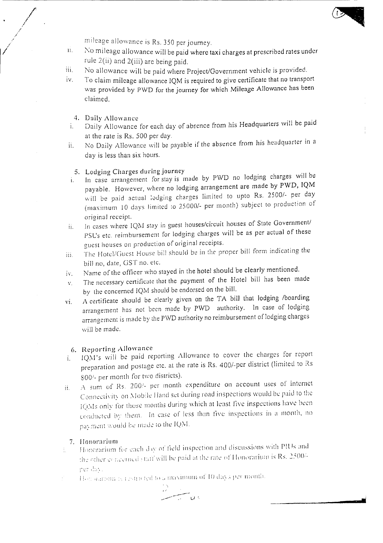mileage allowance is Rs. 350 per journe

- II. No mileage allowance will be paid where taxi charges at prescribed rates under rule  $2(ii)$  and  $2(iii)$  are being paid.
- No allowance will be paid where Project/Government vehicle is provided. III.
- To claim mileage allowance IQM is required to give certificate that no transport was provided by PWD for the journey for which Mileage Allowance has been claimed. IV.
	- 4. Daily Allowance

/ .<br>م / *I*

.'

- i. Daily Allowance for each day of absence from his Headquarters will be paid at the rate is Rs. 500 per day.
- ii. No Daily Allowance will be payable if the absence from his headquarter in a day is less than six hours.

#### 5. Lodging Charges during journey

- 1. In case arrangement for stay is made by PWD no lodging charges will be payable. However, where no lodging arrangement are made by PWD, IQM will be paid actual lodging charges limited to upto Rs. *25001-* per day (maximum 10 days limited to 25000/- per month) subject to production of original receipt.
- ii. In cases where IQM stay in guest houses/circuit houses of State Government/ PSL's etc. reimbursement for lodging charges will be as per actual of these guest houses on production of original receipts.
- III. The Hotel/Guest House bill should be in the proper bill form indicating the bill no, date, GST no. etc.
- iv. Name of the officer who stayed in the hotel should be clearly mentioned.
- v. The necessary certificate that the payment of the Hotel bill has been made by the concerned IQM should be endorsed on the bill.
- vi. A certificate should be clearly given on the TA bill that lodging /boarding arrangement has not been made by PWD authority, In case of lodging arrangement is made by the PWD authority no reimbursement of lodging charges will be made.

#### G. Reporting Allowance

- $1.$  IQM's will be paid reporting Allowance to cover the charges for report preparation and postage etc. at the rate is Rs. *400/-pcr* district (limited to KS 800/- per month for two districts).
- $II.$  : A sum of Rs. 200/- per month expenditure on account uses of internet Connectivity on Mobile Hand set during road inspections would be paid to the IQMs only for those months during which at least five inspections have been conducted by them. In case of less than five inspections in a month, no payment would be made to the IQM.

#### 7. Honorarium

- Honorarium for each day of field inspection and discussions with PIUs and ÷. the other concerned staff will be paid at the rate of Honorarium is Rs. 2500/ner davl
- Hen a aroun is restricted to a maximum of 10 days per month.

$$
\frac{1}{\sqrt{2}}\sum_{i=1}^{n} \frac{1}{i} \frac{1}{i} \frac{1}{i} \frac{1}{i} \frac{1}{i} \frac{1}{i} \frac{1}{i} \frac{1}{i} \frac{1}{i} \frac{1}{i} \frac{1}{i} \frac{1}{i} \frac{1}{i} \frac{1}{i} \frac{1}{i} \frac{1}{i} \frac{1}{i} \frac{1}{i} \frac{1}{i} \frac{1}{i} \frac{1}{i} \frac{1}{i} \frac{1}{i} \frac{1}{i} \frac{1}{i} \frac{1}{i} \frac{1}{i} \frac{1}{i} \frac{1}{i} \frac{1}{i} \frac{1}{i} \frac{1}{i} \frac{1}{i} \frac{1}{i} \frac{1}{i} \frac{1}{i} \frac{1}{i} \frac{1}{i} \frac{1}{i} \frac{1}{i} \frac{1}{i} \frac{1}{i} \frac{1}{i} \frac{1}{i} \frac{1}{i} \frac{1}{i} \frac{1}{i} \frac{1}{i} \frac{1}{i} \frac{1}{i} \frac{1}{i} \frac{1}{i} \frac{1}{i} \frac{1}{i} \frac{1}{i} \frac{1}{i} \frac{1}{i} \frac{1}{i} \frac{1}{i} \frac{1}{i} \frac{1}{i} \frac{1}{i} \frac{1}{i} \frac{1}{i} \frac{1}{i} \frac{1}{i} \frac{1}{i} \frac{1}{i} \frac{1}{i} \frac{1}{i} \frac{1}{i} \frac{1}{i} \frac{1}{i} \frac{1}{i} \frac{1}{i} \frac{1}{i} \frac{1}{i} \frac{1}{i} \frac{1}{i} \frac{1}{i} \frac{1}{i} \frac{1}{i} \frac{1}{i} \frac{1}{i} \frac{1}{i} \frac{1}{i} \frac{1}{i} \frac{1}{i} \frac{1}{i} \frac{1}{i} \frac{1}{i} \frac{1}{i} \frac{1}{i} \frac{1}{i} \frac{1}{i} \frac{1}{i} \frac{1}{i} \frac{1}{i} \frac{1}{i} \frac{1}{i} \frac{1}{i} \frac{1}{i} \frac{1}{i} \frac{1}{i} \frac{1}{i} \frac{1}{
$$